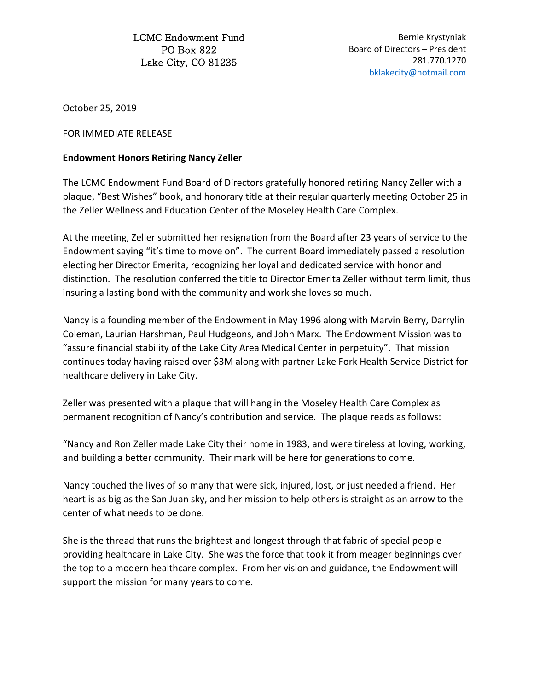LCMC Endowment Fund PO Box 822 Lake City, CO 81235

Bernie Krystyniak Board of Directors – President 281.770.1270 [bklakecity@hotmail.com](mailto:bklakecity@hotmail.com)

October 25, 2019

FOR IMMEDIATE RELEASE

## **Endowment Honors Retiring Nancy Zeller**

The LCMC Endowment Fund Board of Directors gratefully honored retiring Nancy Zeller with a plaque, "Best Wishes" book, and honorary title at their regular quarterly meeting October 25 in the Zeller Wellness and Education Center of the Moseley Health Care Complex.

At the meeting, Zeller submitted her resignation from the Board after 23 years of service to the Endowment saying "it's time to move on". The current Board immediately passed a resolution electing her Director Emerita, recognizing her loyal and dedicated service with honor and distinction. The resolution conferred the title to Director Emerita Zeller without term limit, thus insuring a lasting bond with the community and work she loves so much.

Nancy is a founding member of the Endowment in May 1996 along with Marvin Berry, Darrylin Coleman, Laurian Harshman, Paul Hudgeons, and John Marx. The Endowment Mission was to "assure financial stability of the Lake City Area Medical Center in perpetuity". That mission continues today having raised over \$3M along with partner Lake Fork Health Service District for healthcare delivery in Lake City.

Zeller was presented with a plaque that will hang in the Moseley Health Care Complex as permanent recognition of Nancy's contribution and service. The plaque reads as follows:

"Nancy and Ron Zeller made Lake City their home in 1983, and were tireless at loving, working, and building a better community. Their mark will be here for generations to come.

Nancy touched the lives of so many that were sick, injured, lost, or just needed a friend. Her heart is as big as the San Juan sky, and her mission to help others is straight as an arrow to the center of what needs to be done.

She is the thread that runs the brightest and longest through that fabric of special people providing healthcare in Lake City. She was the force that took it from meager beginnings over the top to a modern healthcare complex. From her vision and guidance, the Endowment will support the mission for many years to come.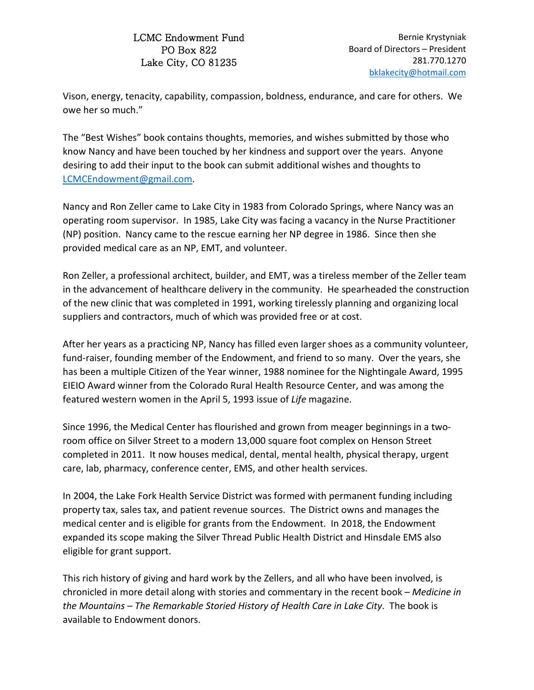## LCMC Endowment Fund PO Box 822 Lake City, CO 81235

Vison, energy, tenacity, capability, compassion, boldness, endurance, and care for others. We owe her so much."

The "Best Wishes" book contains thoughts, memories, and wishes submitted by those who know Nancy and have been touched by her kindness and support over the years. Anyone desiring to add their input to the book can submit additional wishes and thoughts to [LCMCEndowment@gmail.com.](mailto:LCMCEndowment@gmail.com)

Nancy and Ron Zeller came to Lake City in 1983 from Colorado Springs, where Nancy was an operating room supervisor. In 1985, Lake City was facing a vacancy in the Nurse Practitioner (NP) position. Nancy came to the rescue earning her NP degree in 1986. Since then she provided medical care as an NP, EMT, and volunteer.

Ron Zeller, a professional architect, builder, and EMT, was a tireless member of the Zeller team in the advancement of healthcare delivery in the community. He spearheaded the construction of the new clinic that was completed in 1991, working tirelessly planning and organizing local suppliers and contractors, much of which was provided free or at cost.

After her years as a practicing NP, Nancy has filled even larger shoes as a community volunteer, fund-raiser, founding member of the Endowment, and friend to so many. Over the years, she has been a multiple Citizen of the Year winner, 1988 nominee for the Nightingale Award, 1995 EIEIO Award winner from the Colorado Rural Health Resource Center, and was among the featured western women in the April 5, 1993 issue of *Life* magazine.

Since 1996, the Medical Center has flourished and grown from meager beginnings in a tworoom office on Silver Street to a modern 13,000 square foot complex on Henson Street completed in 2011. It now houses medical, dental, mental health, physical therapy, urgent care, lab, pharmacy, conference center, EMS, and other health services.

In 2004, the Lake Fork Health Service District was formed with permanent funding including property tax, sales tax, and patient revenue sources. The District owns and manages the medical center and is eligible for grants from the Endowment. In 2018, the Endowment expanded its scope making the Silver Thread Public Health District and Hinsdale EMS also eligible for grant support.

This rich history of giving and hard work by the Zellers, and all who have been involved, is chronicled in more detail along with stories and commentary in the recent book – *Medicine in the Mountains – The Remarkable Storied History of Health Care in Lake City*. The book is available to Endowment donors.